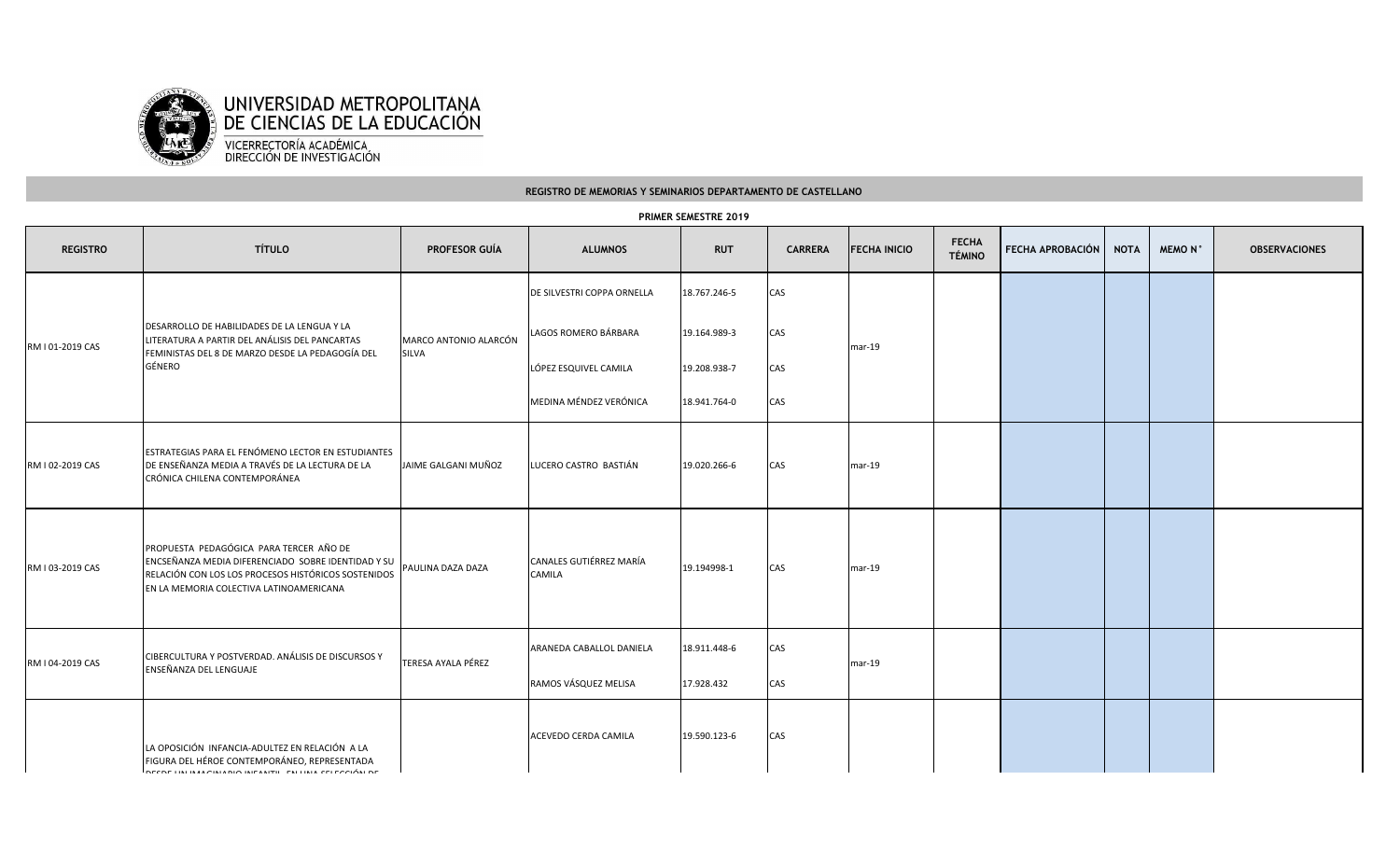

| REGISTRO DE MEMORIAS Y SEMINARIOS DEPARTAMENTO DE CASTELLANO |                                                                                                                                                                                                 |                                       |                                                                                                       |                                                              |                          |                     |                               |                  |             |               |                      |
|--------------------------------------------------------------|-------------------------------------------------------------------------------------------------------------------------------------------------------------------------------------------------|---------------------------------------|-------------------------------------------------------------------------------------------------------|--------------------------------------------------------------|--------------------------|---------------------|-------------------------------|------------------|-------------|---------------|----------------------|
| PRIMER SEMESTRE 2019                                         |                                                                                                                                                                                                 |                                       |                                                                                                       |                                                              |                          |                     |                               |                  |             |               |                      |
| <b>REGISTRO</b>                                              | <b>TÍTULO</b>                                                                                                                                                                                   | <b>PROFESOR GUÍA</b>                  | <b>ALUMNOS</b>                                                                                        | <b>RUT</b>                                                   | <b>CARRERA</b>           | <b>FECHA INICIO</b> | <b>FECHA</b><br><b>TÉMINO</b> | FECHA APROBACIÓN | <b>NOTA</b> | <b>MEMON°</b> | <b>OBSERVACIONES</b> |
| RM I 01-2019 CAS                                             | DESARROLLO DE HABILIDADES DE LA LENGUA Y LA<br>LITERATURA A PARTIR DEL ANÁLISIS DEL PANCARTAS<br>FEMINISTAS DEL 8 DE MARZO DESDE LA PEDAGOGÍA DEL<br>GÉNERO                                     | MARCO ANTONIO ALARCÓN<br><b>SILVA</b> | DE SILVESTRI COPPA ORNELLA<br>LAGOS ROMERO BÁRBARA<br>LÓPEZ ESQUIVEL CAMILA<br>MEDINA MÉNDEZ VERÓNICA | 18.767.246-5<br>19.164.989-3<br>19.208.938-7<br>18.941.764-0 | CAS<br>CAS<br>CAS<br>CAS | $mar-19$            |                               |                  |             |               |                      |
| RM I 02-2019 CAS                                             | ESTRATEGIAS PARA EL FENÓMENO LECTOR EN ESTUDIANTES<br>DE ENSEÑANZA MEDIA A TRAVÉS DE LA LECTURA DE LA<br>CRÓNICA CHILENA CONTEMPORÁNEA                                                          | JAIME GALGANI MUÑOZ                   | LUCERO CASTRO BASTIÁN                                                                                 | 19.020.266-6                                                 | CAS                      | $mar-19$            |                               |                  |             |               |                      |
| RM I 03-2019 CAS                                             | PROPUESTA PEDAGÓGICA PARA TERCER AÑO DE<br>ENCSEÑANZA MEDIA DIFERENCIADO SOBRE IDENTIDAD Y SU<br>RELACIÓN CON LOS LOS PROCESOS HISTÓRICOS SOSTENIDOS<br>EN LA MEMORIA COLECTIVA LATINOAMERICANA | PAULINA DAZA DAZA                     | CANALES GUTIÉRREZ MARÍA<br>CAMILA                                                                     | 19.194998-1                                                  | CAS                      | $mar-19$            |                               |                  |             |               |                      |
| RM I 04-2019 CAS                                             | CIBERCULTURA Y POSTVERDAD. ANÁLISIS DE DISCURSOS Y<br>ENSEÑANZA DEL LENGUAJE                                                                                                                    | <b>TERESA AYALA PÉREZ</b>             | ARANEDA CABALLOL DANIELA<br>RAMOS VÁSQUEZ MELISA                                                      | 18.911.448-6<br>17.928.432                                   | CAS<br>CAS               | $mar-19$            |                               |                  |             |               |                      |
|                                                              | LA OPOSICIÓN INFANCIA-ADULTEZ EN RELACIÓN A LA<br>FIGURA DEL HÉROE CONTEMPORÁNEO, REPRESENTADA<br>INFONE UNI INAACINIANIA INFANEUL ENLUNIA OFI FOOIÁN NE                                        |                                       | ACEVEDO CERDA CAMILA                                                                                  | 19.590.123-6                                                 | CAS                      |                     |                               |                  |             |               |                      |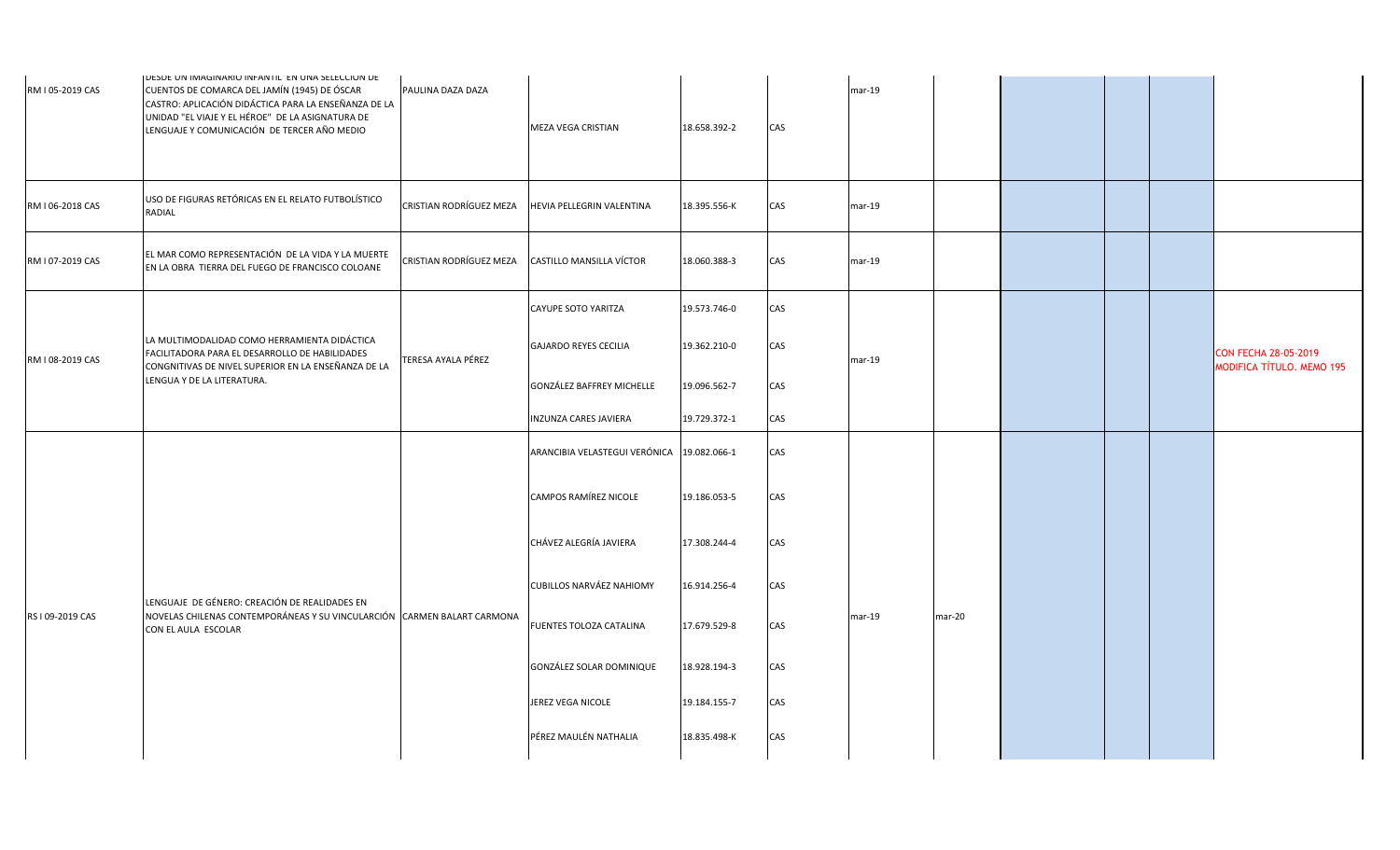| USO DE FIGURAS RETÓRICAS EN EL RELATO FUTBOLÍSTICO                                                                                                                                                                |  |                             |
|-------------------------------------------------------------------------------------------------------------------------------------------------------------------------------------------------------------------|--|-----------------------------|
| RM I 06-2018 CAS<br>CRISTIAN RODRÍGUEZ MEZA<br>18.395.556-K<br>CAS<br>HEVIA PELLEGRIN VALENTINA<br>mar-19<br>RADIAL                                                                                               |  |                             |
| EL MAR COMO REPRESENTACIÓN DE LA VIDA Y LA MUERTE<br>CRISTIAN RODRÍGUEZ MEZA<br>CASTILLO MANSILLA VÍCTOR<br>CAS<br>RM I 07-2019 CAS<br>18.060.388-3<br>mar-19<br>EN LA OBRA TIERRA DEL FUEGO DE FRANCISCO COLOANE |  |                             |
| CAS<br>CAYUPE SOTO YARITZA<br>19.573.746-0                                                                                                                                                                        |  |                             |
| LA MULTIMODALIDAD COMO HERRAMIENTA DIDÁCTICA<br><b>GAJARDO REYES CECILIA</b><br>19.362.210-0<br>CAS<br>FACILITADORA PARA EL DESARROLLO DE HABILIDADES<br>RM I 08-2019 CAS<br>TERESA AYALA PÉREZ<br>mar-19         |  | <b>CON FECHA 28-05-2019</b> |
| CONGNITIVAS DE NIVEL SUPERIOR EN LA ENSEÑANZA DE LA<br>LENGUA Y DE LA LITERATURA.<br>GONZÁLEZ BAFFREY MICHELLE<br>19.096.562-7<br>CAS                                                                             |  | MODIFICA TÍTULO. MEMO 195   |
| CAS<br><b>INZUNZA CARES JAVIERA</b><br>19.729.372-1                                                                                                                                                               |  |                             |
| CAS<br>ARANCIBIA VELASTEGUI VERÓNICA 19.082.066-1                                                                                                                                                                 |  |                             |
| CAMPOS RAMÍREZ NICOLE<br>19.186.053-5<br>CAS                                                                                                                                                                      |  |                             |
| CHÁVEZ ALEGRÍA JAVIERA<br>17.308.244-4<br>CAS                                                                                                                                                                     |  |                             |
| <b>CUBILLOS NARVÁEZ NAHIOMY</b><br>16.914.256-4<br>CAS<br>LENGUAJE DE GÉNERO: CREACIÓN DE REALIDADES EN                                                                                                           |  |                             |
| NOVELAS CHILENAS CONTEMPORÁNEAS Y SU VINCULARCIÓN CARMEN BALART CARMONA<br>RS I 09-2019 CAS<br>mar-19<br>mar-20<br>17.679.529-8<br>CAS<br>FUENTES TOLOZA CATALINA<br>CON EL AULA ESCOLAR                          |  |                             |
| GONZÁLEZ SOLAR DOMINIQUE<br>18.928.194-3<br>CAS                                                                                                                                                                   |  |                             |
| CAS<br>JEREZ VEGA NICOLE<br>19.184.155-7                                                                                                                                                                          |  |                             |
| PÉREZ MAULÉN NATHALIA<br>18.835.498-K<br>CAS                                                                                                                                                                      |  |                             |